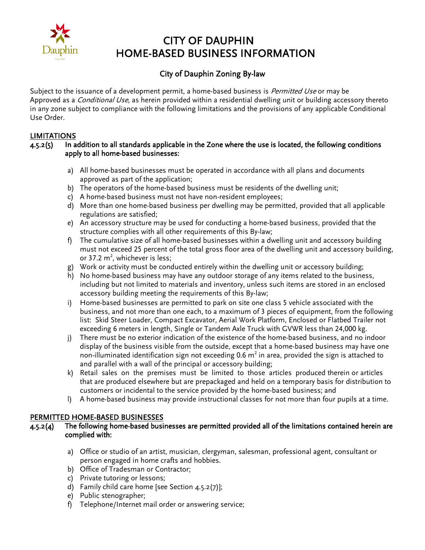

# CITY OF DAUPHIN HOME-BASED BUSINESS INFORMATION

# City of Dauphin Zoning By-law

Subject to the issuance of a development permit, a home-based business is *Permitted Use* or may be Approved as a *Conditional Use*, as herein provided within a residential dwelling unit or building accessory thereto in any zone subject to compliance with the following limitations and the provisions of any applicable Conditional Use Order.

# LIMITATIONS

## 4.5.2(5) In addition to all standards applicable in the Zone where the use is located, the following conditions apply to all home-based businesses:

- a) All home-based businesses must be operated in accordance with all plans and documents approved as part of the application;
- b) The operators of the home-based business must be residents of the dwelling unit;
- c) A home-based business must not have non-resident employees;
- d) More than one home-based business per dwelling may be permitted, provided that all applicable regulations are satisfied;
- e) An accessory structure may be used for conducting a home-based business, provided that the structure complies with all other requirements of this By-law;
- f) The cumulative size of all home-based businesses within a dwelling unit and accessory building must not exceed 25 percent of the total gross floor area of the dwelling unit and accessory building, or 37.2  $m^2$ , whichever is less;
- g) Work or activity must be conducted entirely within the dwelling unit or accessory building;
- h) No home-based business may have any outdoor storage of any items related to the business, including but not limited to materials and inventory, unless such items are stored in an enclosed accessory building meeting the requirements of this By-law;
- i) Home-based businesses are permitted to park on site one class 5 vehicle associated with the business, and not more than one each, to a maximum of 3 pieces of equipment, from the following list: Skid Steer Loader, Compact Excavator, Aerial Work Platform, Enclosed or Flatbed Trailer not exceeding 6 meters in length, Single or Tandem Axle Truck with GVWR less than 24,000 kg.
- j) There must be no exterior indication of the existence of the home-based business, and no indoor display of the business visible from the outside, except that a home-based business may have one non-illuminated identification sign not exceeding 0.6  $\textsf{m}^{2}$  in area, provided the sign is attached to and parallel with a wall of the principal or accessory building;
- k) Retail sales on the premises must be limited to those articles produced therein or articles that are produced elsewhere but are prepackaged and held on a temporary basis for distribution to customers or incidental to the service provided by the home-based business; and
- l) A home-based business may provide instructional classes for not more than four pupils at a time.

#### PERMITTED HOME-BASED BUSINESSES

#### 4.5.2(4) The following home-based businesses are permitted provided all of the limitations contained herein are complied with:

- a) Office or studio of an artist, musician, clergyman, salesman, professional agent, consultant or person engaged in home crafts and hobbies.
- b) Office of Tradesman or Contractor;
- c) Private tutoring or lessons;
- d) Family child care home [see Section 4.5.2(7)];
- e) Public stenographer;
- f) Telephone/Internet mail order or answering service;